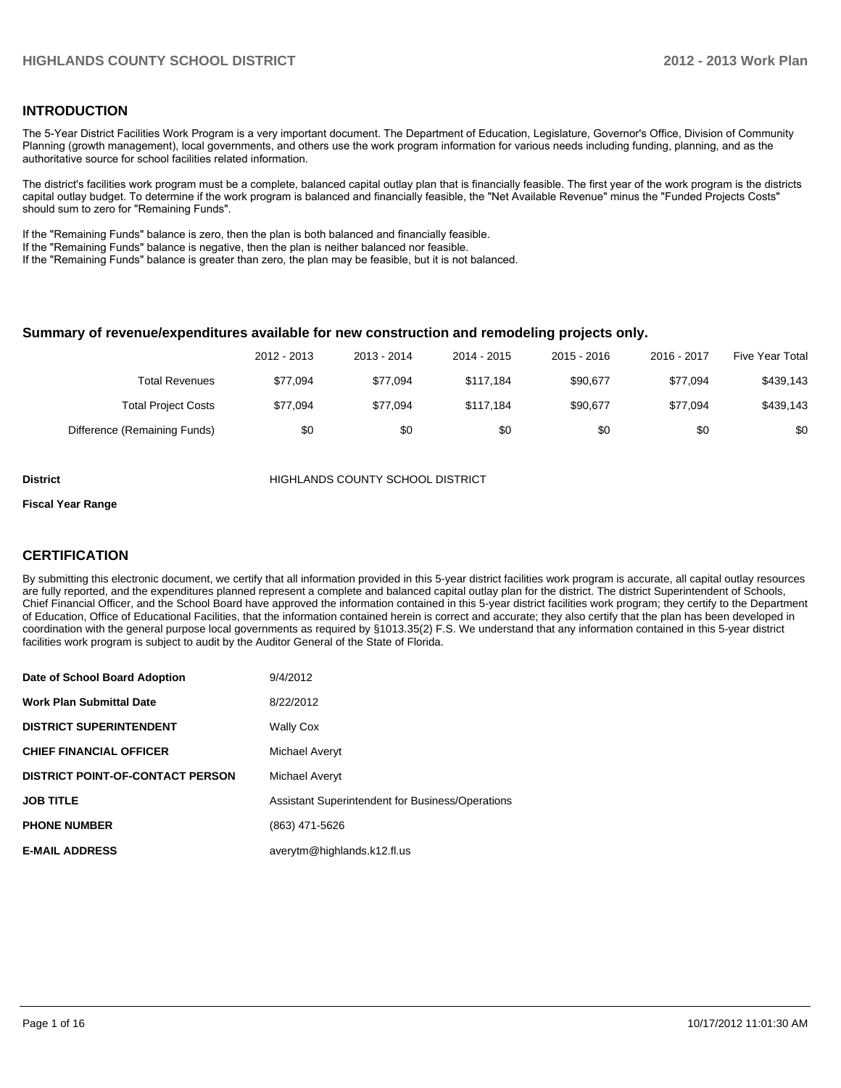#### **INTRODUCTION**

The 5-Year District Facilities Work Program is a very important document. The Department of Education, Legislature, Governor's Office, Division of Community Planning (growth management), local governments, and others use the work program information for various needs including funding, planning, and as the authoritative source for school facilities related information.

The district's facilities work program must be a complete, balanced capital outlay plan that is financially feasible. The first year of the work program is the districts capital outlay budget. To determine if the work program is balanced and financially feasible, the "Net Available Revenue" minus the "Funded Projects Costs" should sum to zero for "Remaining Funds".

If the "Remaining Funds" balance is zero, then the plan is both balanced and financially feasible.

If the "Remaining Funds" balance is negative, then the plan is neither balanced nor feasible.

If the "Remaining Funds" balance is greater than zero, the plan may be feasible, but it is not balanced.

#### **Summary of revenue/expenditures available for new construction and remodeling projects only.**

|                              | 2012 - 2013 | 2013 - 2014 | 2014 - 2015 | $2015 - 2016$ | 2016 - 2017 | <b>Five Year Total</b> |
|------------------------------|-------------|-------------|-------------|---------------|-------------|------------------------|
| Total Revenues               | \$77.094    | \$77.094    | \$117.184   | \$90.677      | \$77.094    | \$439,143              |
| <b>Total Project Costs</b>   | \$77.094    | \$77.094    | \$117.184   | \$90.677      | \$77.094    | \$439,143              |
| Difference (Remaining Funds) | \$0         | \$0         | \$0         | \$0           | \$0         | \$0                    |

**District COUNTY SCHOOL DISTRICT** 

#### **Fiscal Year Range**

#### **CERTIFICATION**

By submitting this electronic document, we certify that all information provided in this 5-year district facilities work program is accurate, all capital outlay resources are fully reported, and the expenditures planned represent a complete and balanced capital outlay plan for the district. The district Superintendent of Schools, Chief Financial Officer, and the School Board have approved the information contained in this 5-year district facilities work program; they certify to the Department of Education, Office of Educational Facilities, that the information contained herein is correct and accurate; they also certify that the plan has been developed in coordination with the general purpose local governments as required by §1013.35(2) F.S. We understand that any information contained in this 5-year district facilities work program is subject to audit by the Auditor General of the State of Florida.

| Date of School Board Adoption           | 9/4/2012                                         |
|-----------------------------------------|--------------------------------------------------|
| <b>Work Plan Submittal Date</b>         | 8/22/2012                                        |
| <b>DISTRICT SUPERINTENDENT</b>          | <b>Wally Cox</b>                                 |
| <b>CHIEF FINANCIAL OFFICER</b>          | Michael Averyt                                   |
| <b>DISTRICT POINT-OF-CONTACT PERSON</b> | Michael Averyt                                   |
| <b>JOB TITLE</b>                        | Assistant Superintendent for Business/Operations |
| <b>PHONE NUMBER</b>                     | (863) 471-5626                                   |
| <b>E-MAIL ADDRESS</b>                   | averytm@highlands.k12.fl.us                      |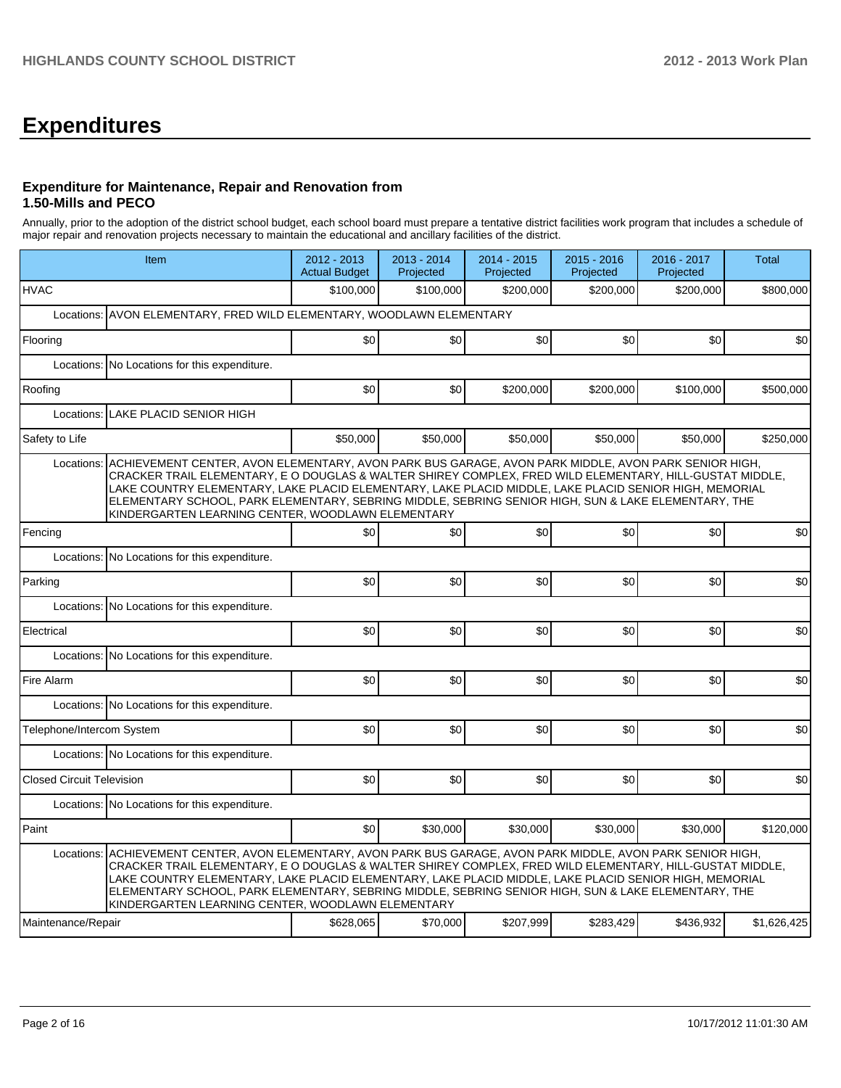# **Expenditures**

#### **Expenditure for Maintenance, Repair and Renovation from 1.50-Mills and PECO**

Annually, prior to the adoption of the district school budget, each school board must prepare a tentative district facilities work program that includes a schedule of major repair and renovation projects necessary to maintain the educational and ancillary facilities of the district.

|                                  | Item                                                                                                                                                                                                                                                                                                                                                                                                                                                                                  |           | 2013 - 2014<br>Projected | 2014 - 2015<br>Projected | 2015 - 2016<br>Projected | 2016 - 2017<br>Projected | <b>Total</b> |
|----------------------------------|---------------------------------------------------------------------------------------------------------------------------------------------------------------------------------------------------------------------------------------------------------------------------------------------------------------------------------------------------------------------------------------------------------------------------------------------------------------------------------------|-----------|--------------------------|--------------------------|--------------------------|--------------------------|--------------|
| <b>HVAC</b>                      |                                                                                                                                                                                                                                                                                                                                                                                                                                                                                       | \$100,000 | \$100,000                | \$200.000                | \$200,000                | \$200,000                | \$800,000    |
| Locations:                       | AVON ELEMENTARY, FRED WILD ELEMENTARY, WOODLAWN ELEMENTARY                                                                                                                                                                                                                                                                                                                                                                                                                            |           |                          |                          |                          |                          |              |
| Flooring                         |                                                                                                                                                                                                                                                                                                                                                                                                                                                                                       | \$0       | \$0                      | \$0                      | \$0                      | \$0                      | \$0          |
| Locations:                       | No Locations for this expenditure.                                                                                                                                                                                                                                                                                                                                                                                                                                                    |           |                          |                          |                          |                          |              |
| Roofing                          |                                                                                                                                                                                                                                                                                                                                                                                                                                                                                       | \$0       | \$0                      | \$200,000                | \$200,000                | \$100,000                | \$500,000    |
| Locations:                       | LAKE PLACID SENIOR HIGH                                                                                                                                                                                                                                                                                                                                                                                                                                                               |           |                          |                          |                          |                          |              |
| Safety to Life                   |                                                                                                                                                                                                                                                                                                                                                                                                                                                                                       | \$50,000  | \$50,000                 | \$50,000                 | \$50,000                 | \$50,000                 | \$250,000    |
| Locations:                       | ACHIEVEMENT CENTER, AVON ELEMENTARY, AVON PARK BUS GARAGE, AVON PARK MIDDLE, AVON PARK SENIOR HIGH,<br>CRACKER TRAIL ELEMENTARY, E O DOUGLAS & WALTER SHIREY COMPLEX, FRED WILD ELEMENTARY, HILL-GUSTAT MIDDLE,<br>LAKE COUNTRY ELEMENTARY, LAKE PLACID ELEMENTARY, LAKE PLACID MIDDLE, LAKE PLACID SENIOR HIGH, MEMORIAL<br>ELEMENTARY SCHOOL, PARK ELEMENTARY, SEBRING MIDDLE, SEBRING SENIOR HIGH, SUN & LAKE ELEMENTARY, THE<br>KINDERGARTEN LEARNING CENTER, WOODLAWN ELEMENTARY |           |                          |                          |                          |                          |              |
| Fencing                          |                                                                                                                                                                                                                                                                                                                                                                                                                                                                                       | \$0       | \$0                      | \$0                      | \$0                      | \$0                      | \$0          |
| Locations:                       | No Locations for this expenditure.                                                                                                                                                                                                                                                                                                                                                                                                                                                    |           |                          |                          |                          |                          |              |
| Parking                          |                                                                                                                                                                                                                                                                                                                                                                                                                                                                                       | \$0       | \$0                      | \$0                      | \$0                      | \$0                      | \$0          |
|                                  | Locations: No Locations for this expenditure.                                                                                                                                                                                                                                                                                                                                                                                                                                         |           |                          |                          |                          |                          |              |
| Electrical                       |                                                                                                                                                                                                                                                                                                                                                                                                                                                                                       | \$0       | \$0                      | \$0                      | \$0                      | \$0                      | \$0          |
| Locations:                       | No Locations for this expenditure.                                                                                                                                                                                                                                                                                                                                                                                                                                                    |           |                          |                          |                          |                          |              |
| Fire Alarm                       |                                                                                                                                                                                                                                                                                                                                                                                                                                                                                       | \$0       | \$0                      | \$0                      | \$0                      | \$0                      | \$0          |
|                                  | Locations: No Locations for this expenditure.                                                                                                                                                                                                                                                                                                                                                                                                                                         |           |                          |                          |                          |                          |              |
| Telephone/Intercom System        |                                                                                                                                                                                                                                                                                                                                                                                                                                                                                       | \$0       | \$0                      | \$0                      | \$0                      | \$0                      | \$0          |
|                                  | Locations: No Locations for this expenditure.                                                                                                                                                                                                                                                                                                                                                                                                                                         |           |                          |                          |                          |                          |              |
| <b>Closed Circuit Television</b> |                                                                                                                                                                                                                                                                                                                                                                                                                                                                                       | \$0       | \$0                      | \$0                      | \$0                      | \$0                      | \$0          |
|                                  | Locations: No Locations for this expenditure.                                                                                                                                                                                                                                                                                                                                                                                                                                         |           |                          |                          |                          |                          |              |
| Paint                            |                                                                                                                                                                                                                                                                                                                                                                                                                                                                                       | \$0       | \$30,000                 | \$30,000                 | \$30,000                 | \$30,000                 | \$120,000    |
| Locations:                       | ACHIEVEMENT CENTER, AVON ELEMENTARY, AVON PARK BUS GARAGE, AVON PARK MIDDLE, AVON PARK SENIOR HIGH,<br>CRACKER TRAIL ELEMENTARY, E O DOUGLAS & WALTER SHIREY COMPLEX, FRED WILD ELEMENTARY, HILL-GUSTAT MIDDLE,<br>LAKE COUNTRY ELEMENTARY, LAKE PLACID ELEMENTARY, LAKE PLACID MIDDLE, LAKE PLACID SENIOR HIGH, MEMORIAL<br>ELEMENTARY SCHOOL, PARK ELEMENTARY, SEBRING MIDDLE, SEBRING SENIOR HIGH, SUN & LAKE ELEMENTARY, THE<br>KINDERGARTEN LEARNING CENTER, WOODLAWN ELEMENTARY |           |                          |                          |                          |                          |              |
| Maintenance/Repair               |                                                                                                                                                                                                                                                                                                                                                                                                                                                                                       | \$628,065 | \$70,000                 | \$207,999                | \$283,429                | \$436,932                | \$1,626,425  |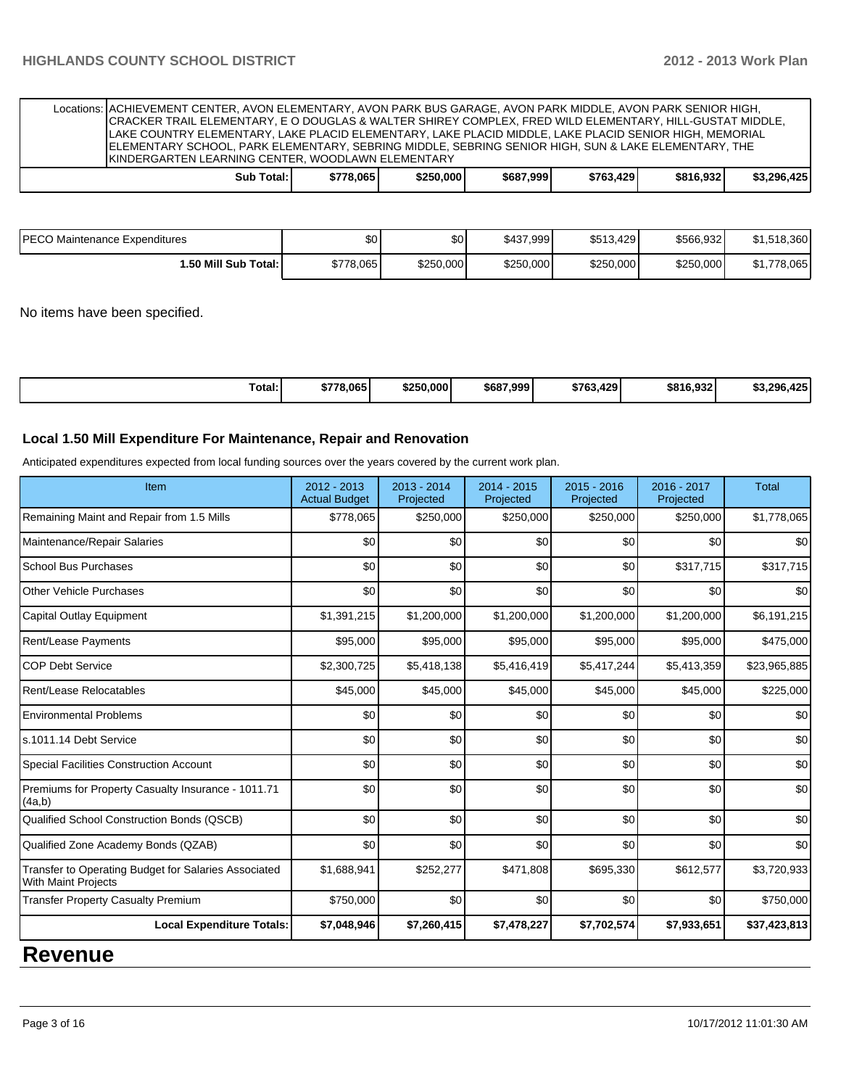| Locations: ACHIEVEMENT CENTER, AVON ELEMENTARY, AVON PARK BUS GARAGE, AVON PARK MIDDLE, AVON PARK SENIOR HIGH,<br>CRACKER TRAIL ELEMENTARY, E O DOUGLAS & WALTER SHIREY COMPLEX, FRED WILD ELEMENTARY, HILL-GUSTAT MIDDLE,<br>ILAKE COUNTRY ELEMENTARY. LAKE PLACID ELEMENTARY. LAKE PLACID MIDDLE. LAKE PLACID SENIOR HIGH. MEMORIAL<br>ELEMENTARY SCHOOL, PARK ELEMENTARY, SEBRING MIDDLE, SEBRING SENIOR HIGH, SUN & LAKE ELEMENTARY, THE<br><b>IKINDERGARTEN LEARNING CENTER, WOODLAWN ELEMENTARY</b> |            |           |           |           |           |             |
|-----------------------------------------------------------------------------------------------------------------------------------------------------------------------------------------------------------------------------------------------------------------------------------------------------------------------------------------------------------------------------------------------------------------------------------------------------------------------------------------------------------|------------|-----------|-----------|-----------|-----------|-------------|
| Sub Total: I                                                                                                                                                                                                                                                                                                                                                                                                                                                                                              | \$778.0651 | \$250,000 | \$687.999 | \$763.429 | \$816.932 | \$3.296.425 |

| <b>PECO Maintenance Expenditures</b> | \$0       | \$0       | \$437,999 | \$513,429 | \$566,932 | \$1,518,360       |
|--------------------------------------|-----------|-----------|-----------|-----------|-----------|-------------------|
| I.50 Mill Sub Total: I               | \$778.065 | \$250,000 | \$250,000 | \$250,000 | \$250,000 | ,778,065<br>ו. וכ |

No items have been specified.

| Total:<br>\$778.065<br>\$250,000<br>ດາາ<br>\$687.999<br>\$763.429<br>\$816.932<br>ാറ്റ<br>$\cdot$ . |  |
|-----------------------------------------------------------------------------------------------------|--|
|-----------------------------------------------------------------------------------------------------|--|

#### **Local 1.50 Mill Expenditure For Maintenance, Repair and Renovation**

Anticipated expenditures expected from local funding sources over the years covered by the current work plan.

| Item                                                                               | 2012 - 2013<br><b>Actual Budget</b> | $2013 - 2014$<br>Projected | $2014 - 2015$<br>Projected | 2015 - 2016<br>Projected | $2016 - 2017$<br>Projected | <b>Total</b> |
|------------------------------------------------------------------------------------|-------------------------------------|----------------------------|----------------------------|--------------------------|----------------------------|--------------|
| Remaining Maint and Repair from 1.5 Mills                                          | \$778,065                           | \$250,000                  | \$250,000                  | \$250,000                | \$250,000                  | \$1,778,065  |
| Maintenance/Repair Salaries                                                        | \$0                                 | \$0                        | \$0                        | \$0                      | \$0                        | \$0          |
| School Bus Purchases                                                               | \$0                                 | \$0                        | \$0                        | \$0                      | \$317,715                  | \$317,715    |
| Other Vehicle Purchases                                                            | \$0                                 | \$0                        | \$0                        | \$0                      | \$0                        | \$0          |
| Capital Outlay Equipment                                                           | \$1,391,215                         | \$1,200,000                | \$1,200,000                | \$1,200,000              | \$1,200,000                | \$6,191,215  |
| Rent/Lease Payments                                                                | \$95,000                            | \$95,000                   | \$95,000                   | \$95,000                 | \$95,000                   | \$475,000    |
| <b>COP Debt Service</b>                                                            | \$2,300,725                         | \$5,418,138                | \$5,416,419                | \$5,417,244              | \$5,413,359                | \$23,965,885 |
| Rent/Lease Relocatables                                                            | \$45,000                            | \$45,000                   | \$45,000                   | \$45,000                 | \$45,000                   | \$225,000    |
| <b>Environmental Problems</b>                                                      | \$0                                 | \$0                        | \$0                        | \$0                      | \$0                        | \$0          |
| s.1011.14 Debt Service                                                             | \$0                                 | \$0                        | \$0                        | \$0                      | \$0                        | \$0          |
| <b>Special Facilities Construction Account</b>                                     | \$0                                 | \$0                        | \$0                        | \$0                      | \$0                        | \$0          |
| Premiums for Property Casualty Insurance - 1011.71<br>(4a,b)                       | \$0                                 | \$0                        | \$0                        | \$0                      | \$0                        | \$0          |
| Qualified School Construction Bonds (QSCB)                                         | \$0                                 | \$0                        | \$0                        | \$0                      | \$0                        | \$0          |
| Qualified Zone Academy Bonds (QZAB)                                                | \$0                                 | \$0                        | \$0                        | \$0                      | \$0                        | \$0          |
| Transfer to Operating Budget for Salaries Associated<br><b>With Maint Projects</b> | \$1,688,941                         | \$252,277                  | \$471,808                  | \$695,330                | \$612,577                  | \$3,720,933  |
| <b>Transfer Property Casualty Premium</b>                                          | \$750,000                           | \$0                        | \$0                        | \$0                      | \$0                        | \$750,000    |
| <b>Local Expenditure Totals:</b>                                                   | \$7,048,946                         | \$7,260,415                | \$7,478,227                | \$7,702,574              | \$7,933,651                | \$37,423,813 |

**Revenue**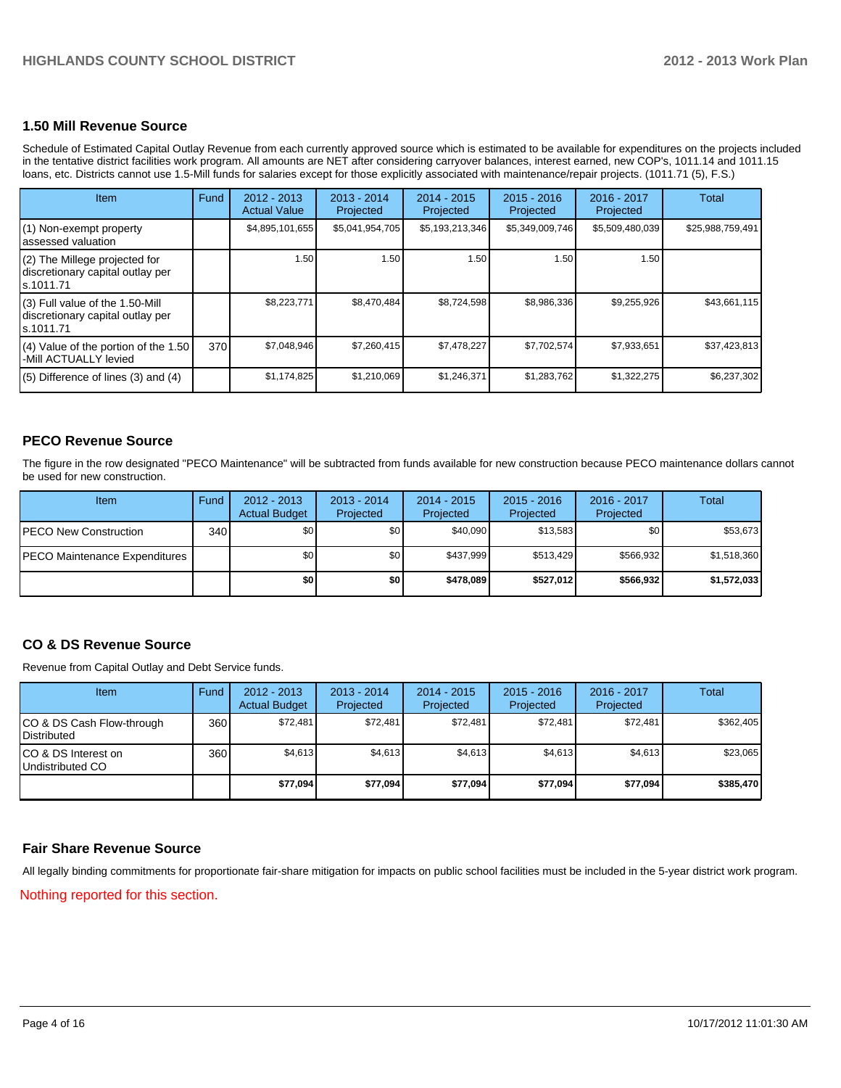#### **1.50 Mill Revenue Source**

Schedule of Estimated Capital Outlay Revenue from each currently approved source which is estimated to be available for expenditures on the projects included in the tentative district facilities work program. All amounts are NET after considering carryover balances, interest earned, new COP's, 1011.14 and 1011.15 loans, etc. Districts cannot use 1.5-Mill funds for salaries except for those explicitly associated with maintenance/repair projects. (1011.71 (5), F.S.)

| <b>Item</b>                                                                      | Fund | $2012 - 2013$<br><b>Actual Value</b> | $2013 - 2014$<br>Projected | $2014 - 2015$<br>Projected | $2015 - 2016$<br>Projected | 2016 - 2017<br>Projected | Total            |
|----------------------------------------------------------------------------------|------|--------------------------------------|----------------------------|----------------------------|----------------------------|--------------------------|------------------|
| (1) Non-exempt property<br>assessed valuation                                    |      | \$4,895,101,655                      | \$5,041,954,705            | \$5,193,213,346            | \$5,349,009,746            | \$5,509,480,039          | \$25,988,759,491 |
| (2) The Millege projected for<br>discretionary capital outlay per<br>ls.1011.71  |      | 1.50                                 | 1.50                       | 1.50                       | 1.50                       | 1.50 l                   |                  |
| (3) Full value of the 1.50-Mill<br>discretionary capital outlay per<br>s.1011.71 |      | \$8.223.771                          | \$8,470,484                | \$8,724,598                | \$8,986,336                | \$9,255,926              | \$43,661,115     |
| $(4)$ Value of the portion of the 1.50<br>-Mill ACTUALLY levied                  | 370  | \$7,048,946                          | \$7,260,415                | \$7,478,227                | \$7,702,574                | \$7,933,651              | \$37,423,813     |
| $(5)$ Difference of lines $(3)$ and $(4)$                                        |      | \$1,174,825                          | \$1,210,069                | \$1,246,371                | \$1,283,762                | \$1,322,275              | \$6,237,302      |

### **PECO Revenue Source**

The figure in the row designated "PECO Maintenance" will be subtracted from funds available for new construction because PECO maintenance dollars cannot be used for new construction.

| <b>Item</b>                          | Fund | $2012 - 2013$<br><b>Actual Budget</b> | $2013 - 2014$<br>Projected | $2014 - 2015$<br>Projected | $2015 - 2016$<br>Projected | 2016 - 2017<br>Projected | Total       |
|--------------------------------------|------|---------------------------------------|----------------------------|----------------------------|----------------------------|--------------------------|-------------|
| <b>PECO New Construction</b>         | 340  | \$0                                   | \$0 <sub>1</sub>           | \$40.090                   | \$13.583                   | \$0                      | \$53,673    |
| <b>PECO Maintenance Expenditures</b> |      | \$0                                   | \$0 <sub>1</sub>           | \$437.999                  | \$513.429                  | \$566.932                | \$1,518,360 |
|                                      |      | \$0 I                                 | \$0                        | \$478.089                  | \$527.012                  | \$566,932                | \$1,572,033 |

### **CO & DS Revenue Source**

Revenue from Capital Outlay and Debt Service funds.

| Item                                             | Fund             | $2012 - 2013$<br><b>Actual Budget</b> | 2013 - 2014<br>Projected | $2014 - 2015$<br>Projected | $2015 - 2016$<br>Projected | 2016 - 2017<br>Projected | Total     |
|--------------------------------------------------|------------------|---------------------------------------|--------------------------|----------------------------|----------------------------|--------------------------|-----------|
| ICO & DS Cash Flow-through<br><b>Distributed</b> | 360 <sup>I</sup> | \$72.481                              | \$72.481                 | \$72,481                   | \$72.481                   | \$72.481                 | \$362,405 |
| ICO & DS Interest on<br>Undistributed CO         | 360              | \$4,613                               | \$4,613                  | \$4,613                    | \$4,613                    | \$4,613                  | \$23,065  |
|                                                  |                  | \$77,094                              | \$77,094                 | \$77,094                   | \$77,094                   | \$77,094                 | \$385,470 |

#### **Fair Share Revenue Source**

All legally binding commitments for proportionate fair-share mitigation for impacts on public school facilities must be included in the 5-year district work program.

Nothing reported for this section.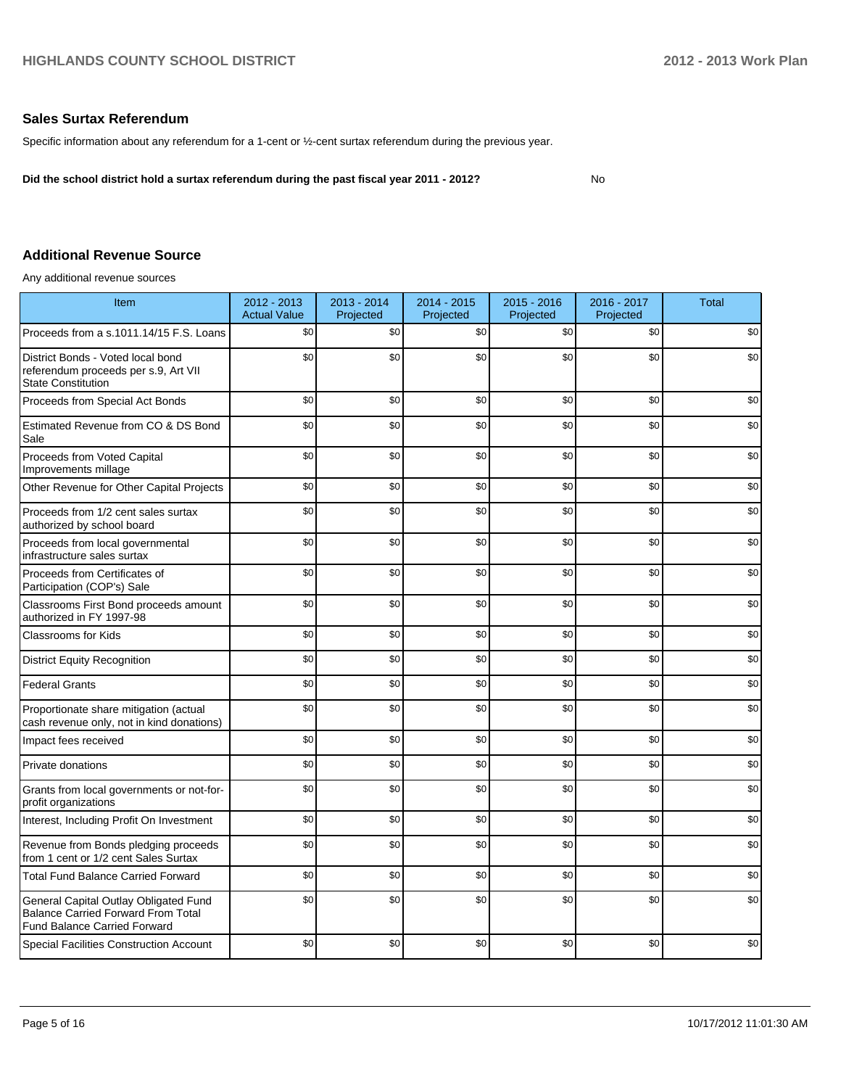No

#### **Sales Surtax Referendum**

Specific information about any referendum for a 1-cent or ½-cent surtax referendum during the previous year.

**Did the school district hold a surtax referendum during the past fiscal year 2011 - 2012?**

### **Additional Revenue Source**

Any additional revenue sources

| Item                                                                                                                      | 2012 - 2013<br><b>Actual Value</b> | 2013 - 2014<br>Projected | $2014 - 2015$<br>Projected | $2015 - 2016$<br>Projected | 2016 - 2017<br>Projected | <b>Total</b> |
|---------------------------------------------------------------------------------------------------------------------------|------------------------------------|--------------------------|----------------------------|----------------------------|--------------------------|--------------|
| Proceeds from a s.1011.14/15 F.S. Loans                                                                                   | \$0                                | \$0                      | \$0                        | \$0                        | \$0                      | \$0          |
| District Bonds - Voted local bond<br>referendum proceeds per s.9, Art VII<br><b>State Constitution</b>                    | \$0                                | \$0                      | \$0                        | \$0                        | \$0                      | \$0          |
| Proceeds from Special Act Bonds                                                                                           | \$0                                | \$0                      | \$0                        | \$0                        | \$0                      | \$0          |
| Estimated Revenue from CO & DS Bond<br>Sale                                                                               | \$0                                | \$0                      | \$0                        | \$0                        | \$0                      | \$0          |
| Proceeds from Voted Capital<br>Improvements millage                                                                       | \$0                                | \$0                      | \$0                        | \$0                        | \$0                      | \$0          |
| Other Revenue for Other Capital Projects                                                                                  | \$0                                | \$0                      | \$0                        | \$0                        | \$0                      | \$0          |
| Proceeds from 1/2 cent sales surtax<br>authorized by school board                                                         | \$0                                | \$0                      | \$0                        | \$0                        | \$0                      | \$0          |
| Proceeds from local governmental<br>infrastructure sales surtax                                                           | \$0                                | \$0                      | \$0                        | \$0                        | \$0                      | \$0          |
| Proceeds from Certificates of<br>Participation (COP's) Sale                                                               | \$0                                | \$0                      | \$0                        | \$0                        | \$0                      | \$0          |
| Classrooms First Bond proceeds amount<br>authorized in FY 1997-98                                                         | \$0                                | \$0                      | \$0                        | \$0                        | \$0                      | \$0          |
| <b>Classrooms for Kids</b>                                                                                                | \$0                                | \$0                      | \$0                        | \$0                        | \$0                      | \$0          |
| <b>District Equity Recognition</b>                                                                                        | \$0                                | \$0                      | \$0                        | \$0                        | \$0                      | \$0          |
| <b>Federal Grants</b>                                                                                                     | \$0                                | \$0                      | \$0                        | \$0                        | \$0                      | \$0          |
| Proportionate share mitigation (actual<br>cash revenue only, not in kind donations)                                       | \$0                                | \$0                      | \$0                        | \$0                        | \$0                      | \$0          |
| Impact fees received                                                                                                      | \$0                                | \$0                      | \$0                        | \$0                        | \$0                      | \$0          |
| Private donations                                                                                                         | \$0                                | \$0                      | \$0                        | \$0                        | \$0                      | \$0          |
| Grants from local governments or not-for-<br>profit organizations                                                         | \$0                                | \$0                      | \$0                        | \$0                        | \$0                      | \$0          |
| Interest, Including Profit On Investment                                                                                  | \$0                                | \$0                      | \$0                        | \$0                        | \$0                      | \$0          |
| Revenue from Bonds pledging proceeds<br>from 1 cent or 1/2 cent Sales Surtax                                              | \$0                                | \$0                      | \$0                        | \$0                        | \$0                      | \$0          |
| <b>Total Fund Balance Carried Forward</b>                                                                                 | \$0                                | \$0                      | \$0                        | \$0                        | \$0                      | \$0          |
| General Capital Outlay Obligated Fund<br><b>Balance Carried Forward From Total</b><br><b>Fund Balance Carried Forward</b> | \$0                                | \$0                      | \$0                        | \$0                        | \$0                      | \$0          |
| <b>Special Facilities Construction Account</b>                                                                            | \$0                                | \$0                      | \$0                        | \$0                        | \$0                      | \$0          |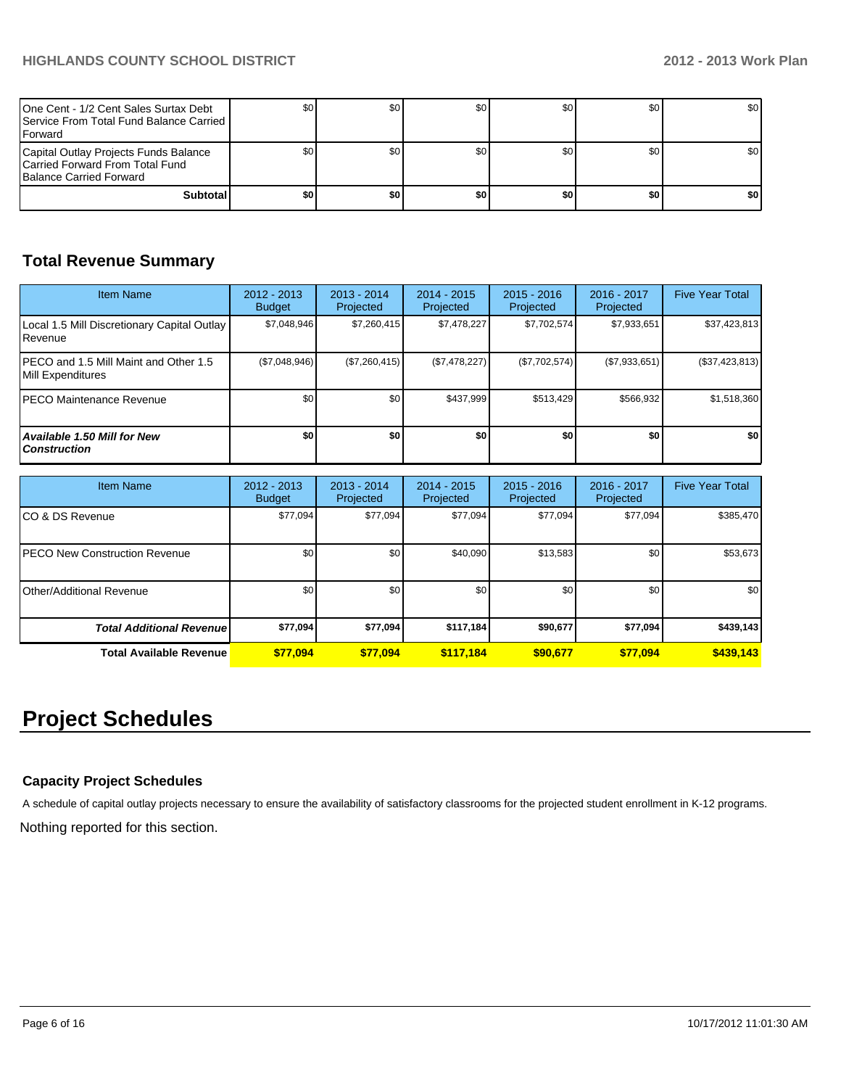| One Cent - 1/2 Cent Sales Surtax Debt<br><b>I</b> Service From Total Fund Balance Carried I<br><b>IForward</b> |     | \$0 | \$0 | SO I | \$0 | <b>SO</b> I      |
|----------------------------------------------------------------------------------------------------------------|-----|-----|-----|------|-----|------------------|
| Capital Outlay Projects Funds Balance<br>Carried Forward From Total Fund<br>Balance Carried Forward            |     |     | \$0 | SO I | \$0 | \$0 <sub>1</sub> |
| <b>Subtotal</b>                                                                                                | \$0 | \$0 | \$0 | \$0  | \$0 | \$0              |

# **Total Revenue Summary**

| <b>Item Name</b>                                            | $2012 - 2013$<br><b>Budget</b> | $2013 - 2014$<br>Projected | $2014 - 2015$<br>Projected | $2015 - 2016$<br>Projected | $2016 - 2017$<br>Projected | <b>Five Year Total</b> |
|-------------------------------------------------------------|--------------------------------|----------------------------|----------------------------|----------------------------|----------------------------|------------------------|
| Local 1.5 Mill Discretionary Capital Outlay<br>Revenue      | \$7.048.946                    | \$7,260,415                | \$7.478.227                | \$7,702,574                | \$7,933,651                | \$37,423,813           |
| IPECO and 1.5 Mill Maint and Other 1.5<br>Mill Expenditures | (\$7,048,946)                  | (\$7,260,415)              | (S7, 478, 227)             | (\$7,702,574)              | (\$7,933,651)              | (\$37,423,813)         |
| IPECO Maintenance Revenue                                   | \$0                            | \$0                        | \$437.999                  | \$513.429                  | \$566.932                  | \$1,518,360            |
| <b>Available 1.50 Mill for New</b><br><b>Construction</b>   | \$0                            | \$0                        | \$0                        | \$0                        | \$0                        | \$0 <sub>1</sub>       |

| <b>Item Name</b>                      | 2012 - 2013<br><b>Budget</b> | $2013 - 2014$<br>Projected | $2014 - 2015$<br>Projected | $2015 - 2016$<br>Projected | 2016 - 2017<br>Projected | <b>Five Year Total</b> |
|---------------------------------------|------------------------------|----------------------------|----------------------------|----------------------------|--------------------------|------------------------|
| ICO & DS Revenue                      | \$77,094                     | \$77,094                   | \$77,094                   | \$77,094                   | \$77,094                 | \$385,470              |
| <b>IPECO New Construction Revenue</b> | \$0                          | \$0                        | \$40,090                   | \$13,583                   | \$0                      | \$53,673               |
| IOther/Additional Revenue             | \$0                          | \$0                        | \$0                        | \$0                        | \$0 <sub>1</sub>         | \$0                    |
| <b>Total Additional Revenuel</b>      | \$77,094                     | \$77,094                   | \$117,184                  | \$90,677                   | \$77,094                 | \$439,143              |
| <b>Total Available Revenue</b>        | \$77,094                     | \$77.094                   | \$117,184                  | \$90,677                   | \$77.094                 | \$439,143              |

# **Project Schedules**

### **Capacity Project Schedules**

A schedule of capital outlay projects necessary to ensure the availability of satisfactory classrooms for the projected student enrollment in K-12 programs.

Nothing reported for this section.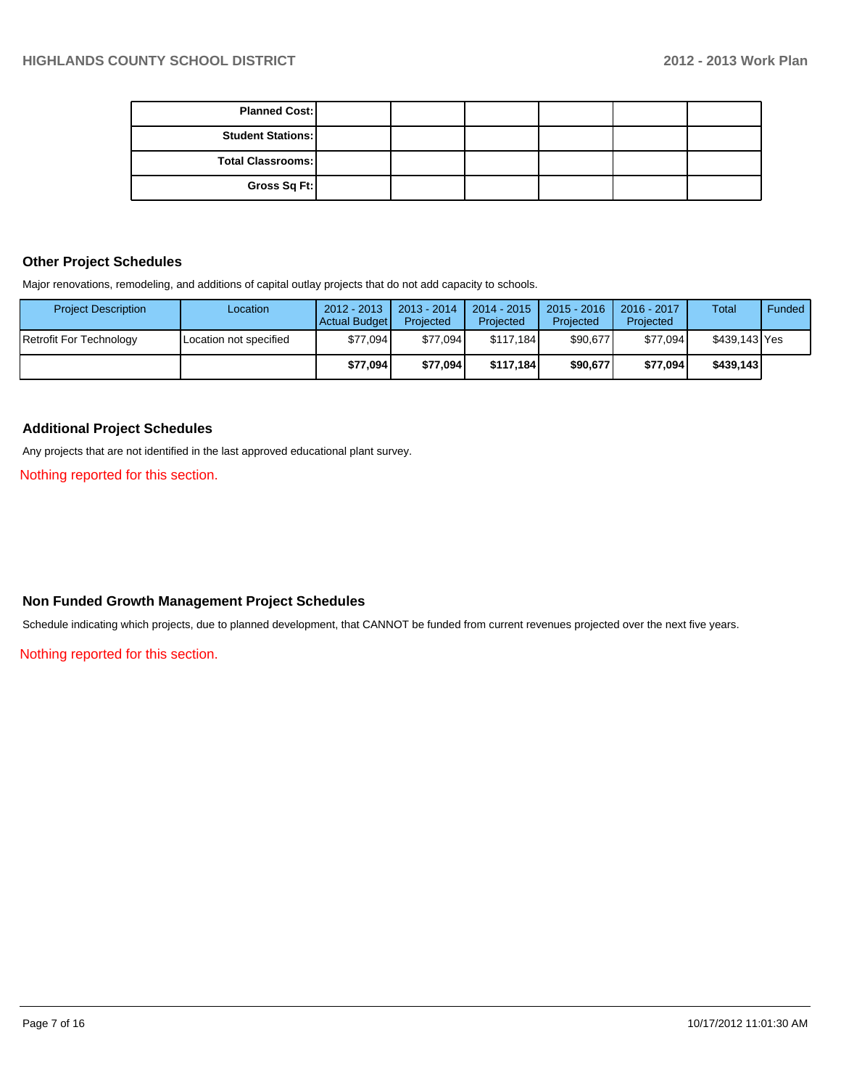| <b>Planned Cost:</b>     |  |  |  |
|--------------------------|--|--|--|
| <b>Student Stations:</b> |  |  |  |
| <b>Total Classrooms:</b> |  |  |  |
| Gross Sq Ft:             |  |  |  |

#### **Other Project Schedules**

Major renovations, remodeling, and additions of capital outlay projects that do not add capacity to schools.

| <b>Project Description</b> | Location               | $2012 - 2013$<br><b>Actual Budget</b> | $2013 - 2014$<br>Projected | $2014 - 2015$<br>Projected | $2015 - 2016$<br>Projected | 2016 - 2017<br>Projected | <b>Total</b>  | Funded |
|----------------------------|------------------------|---------------------------------------|----------------------------|----------------------------|----------------------------|--------------------------|---------------|--------|
| Retrofit For Technology    | Location not specified | \$77.094                              | \$77.094                   | \$117.184                  | \$90,677                   | \$77,094                 | \$439.143 Yes |        |
|                            |                        | \$77,094                              | \$77.094                   | \$117.184                  | \$90,677                   | \$77,094                 | \$439,143     |        |

### **Additional Project Schedules**

Any projects that are not identified in the last approved educational plant survey.

Nothing reported for this section.

# **Non Funded Growth Management Project Schedules**

Schedule indicating which projects, due to planned development, that CANNOT be funded from current revenues projected over the next five years.

Nothing reported for this section.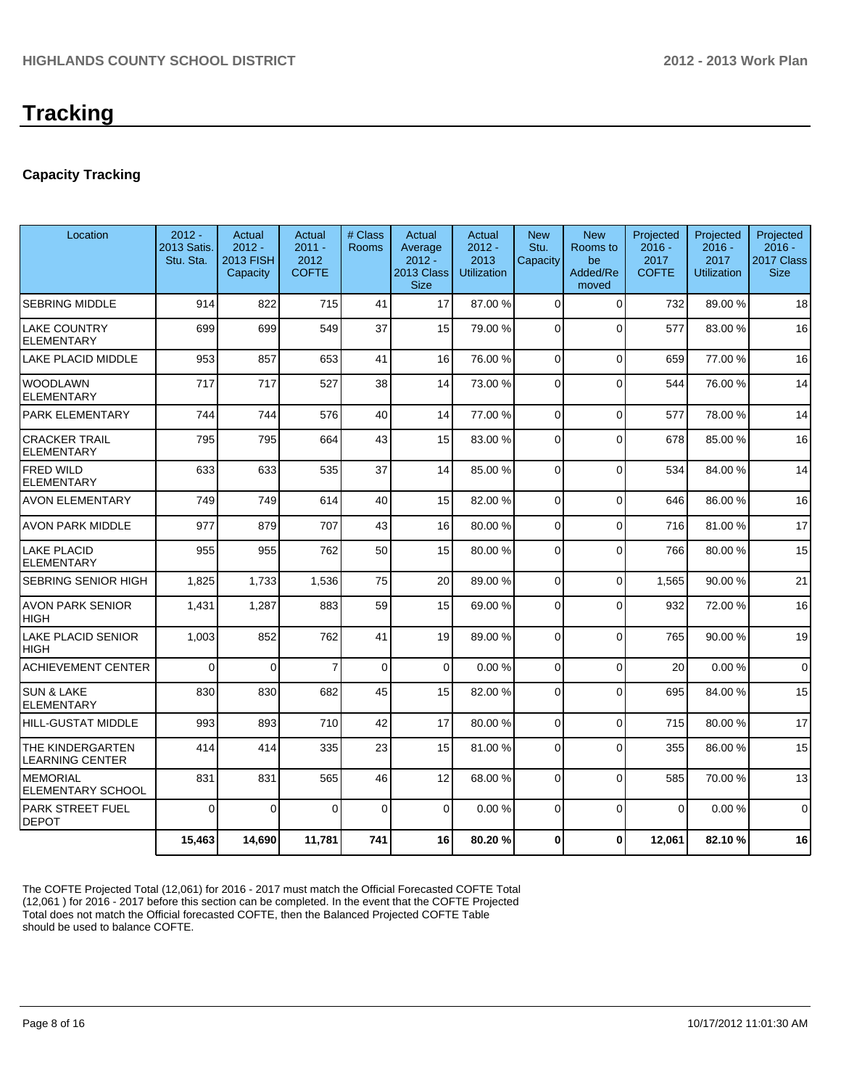# **Capacity Tracking**

| Location                                    | $2012 -$<br>2013 Satis.<br>Stu. Sta. | Actual<br>$2012 -$<br>2013 FISH<br>Capacity | Actual<br>$2011 -$<br>2012<br><b>COFTE</b> | # Class<br><b>Rooms</b> | Actual<br>Average<br>$2012 -$<br>2013 Class<br><b>Size</b> | Actual<br>$2012 -$<br>2013<br><b>Utilization</b> | <b>New</b><br>Stu.<br>Capacity | <b>New</b><br>Rooms to<br>be<br>Added/Re<br>moved | Projected<br>$2016 -$<br>2017<br><b>COFTE</b> | Projected<br>$2016 -$<br>2017<br><b>Utilization</b> | Projected<br>$2016 -$<br>2017 Class<br><b>Size</b> |
|---------------------------------------------|--------------------------------------|---------------------------------------------|--------------------------------------------|-------------------------|------------------------------------------------------------|--------------------------------------------------|--------------------------------|---------------------------------------------------|-----------------------------------------------|-----------------------------------------------------|----------------------------------------------------|
| <b>SEBRING MIDDLE</b>                       | 914                                  | 822                                         | 715                                        | 41                      | 17                                                         | 87.00 %                                          | $\Omega$                       | $\Omega$                                          | 732                                           | 89.00 %                                             | 18                                                 |
| LAKE COUNTRY<br><b>ELEMENTARY</b>           | 699                                  | 699                                         | 549                                        | 37                      | 15                                                         | 79.00 %                                          | $\Omega$                       | $\Omega$                                          | 577                                           | 83.00 %                                             | 16                                                 |
| LAKE PLACID MIDDLE                          | 953                                  | 857                                         | 653                                        | 41                      | 16                                                         | 76.00 %                                          | $\Omega$                       | $\Omega$                                          | 659                                           | 77.00 %                                             | 16                                                 |
| <b>WOODLAWN</b><br><b>ELEMENTARY</b>        | 717                                  | 717                                         | 527                                        | 38                      | 14                                                         | 73.00 %                                          | $\Omega$                       | $\Omega$                                          | 544                                           | 76.00 %                                             | 14                                                 |
| PARK ELEMENTARY                             | 744                                  | 744                                         | 576                                        | 40                      | 14                                                         | 77.00 %                                          | 0                              | $\Omega$                                          | 577                                           | 78.00%                                              | 14                                                 |
| <b>CRACKER TRAIL</b><br><b>ELEMENTARY</b>   | 795                                  | 795                                         | 664                                        | 43                      | 15                                                         | 83.00 %                                          | $\Omega$                       | $\Omega$                                          | 678                                           | 85.00 %                                             | 16                                                 |
| <b>FRED WILD</b><br><b>ELEMENTARY</b>       | 633                                  | 633                                         | 535                                        | 37                      | 14                                                         | 85.00 %                                          | 0                              | $\Omega$                                          | 534                                           | 84.00 %                                             | 14                                                 |
| <b>AVON ELEMENTARY</b>                      | 749                                  | 749                                         | 614                                        | 40                      | 15                                                         | 82.00 %                                          | $\Omega$                       | $\Omega$                                          | 646                                           | 86.00 %                                             | 16                                                 |
| <b>AVON PARK MIDDLE</b>                     | 977                                  | 879                                         | 707                                        | 43                      | 16                                                         | 80.00 %                                          | 0                              | $\mathbf 0$                                       | 716                                           | 81.00%                                              | 17                                                 |
| <b>LAKE PLACID</b><br><b>ELEMENTARY</b>     | 955                                  | 955                                         | 762                                        | 50                      | 15                                                         | 80.00 %                                          | 0                              | $\Omega$                                          | 766                                           | 80.00%                                              | 15                                                 |
| SEBRING SENIOR HIGH                         | 1,825                                | 1,733                                       | 1,536                                      | 75                      | 20                                                         | 89.00 %                                          | $\Omega$                       | $\Omega$                                          | 1,565                                         | 90.00 %                                             | 21                                                 |
| <b>AVON PARK SENIOR</b><br>HIGH             | 1,431                                | 1,287                                       | 883                                        | 59                      | 15                                                         | 69.00 %                                          | 0                              | $\Omega$                                          | 932                                           | 72.00 %                                             | 16                                                 |
| <b>LAKE PLACID SENIOR</b><br>HIGH           | 1,003                                | 852                                         | 762                                        | 41                      | 19                                                         | 89.00 %                                          | $\Omega$                       | $\Omega$                                          | 765                                           | 90.00 %                                             | 19                                                 |
| <b>ACHIEVEMENT CENTER</b>                   | $\Omega$                             | $\Omega$                                    | $\overline{7}$                             | $\Omega$                | $\Omega$                                                   | 0.00%                                            | $\Omega$                       | $\Omega$                                          | 20                                            | 0.00%                                               | $\mathbf 0$                                        |
| <b>SUN &amp; LAKE</b><br><b>ELEMENTARY</b>  | 830                                  | 830                                         | 682                                        | 45                      | 15                                                         | 82.00 %                                          | $\Omega$                       | $\Omega$                                          | 695                                           | 84.00%                                              | 15                                                 |
| HILL-GUSTAT MIDDLE                          | 993                                  | 893                                         | 710                                        | 42                      | 17                                                         | 80.00 %                                          | $\overline{0}$                 | $\Omega$                                          | 715                                           | 80.00%                                              | 17                                                 |
| THE KINDERGARTEN<br><b>LEARNING CENTER</b>  | 414                                  | 414                                         | 335                                        | 23                      | 15                                                         | 81.00 %                                          | $\Omega$                       | $\Omega$                                          | 355                                           | 86.00 %                                             | 15                                                 |
| <b>MEMORIAL</b><br><b>ELEMENTARY SCHOOL</b> | 831                                  | 831                                         | 565                                        | 46                      | 12                                                         | 68.00 %                                          | $\Omega$                       | $\Omega$                                          | 585                                           | 70.00%                                              | 13                                                 |
| <b>PARK STREET FUEL</b><br><b>DEPOT</b>     | $\Omega$                             | $\Omega$                                    | $\Omega$                                   | $\Omega$                | $\Omega$                                                   | 0.00%                                            | $\Omega$                       | $\Omega$                                          | $\Omega$                                      | 0.00%                                               | $\Omega$                                           |
|                                             | 15,463                               | 14,690                                      | 11,781                                     | 741                     | 16                                                         | 80.20%                                           | 0                              | $\mathbf{0}$                                      | 12,061                                        | 82.10%                                              | 16                                                 |

The COFTE Projected Total (12,061) for 2016 - 2017 must match the Official Forecasted COFTE Total (12,061 ) for 2016 - 2017 before this section can be completed. In the event that the COFTE Projected Total does not match the Official forecasted COFTE, then the Balanced Projected COFTE Table should be used to balance COFTE.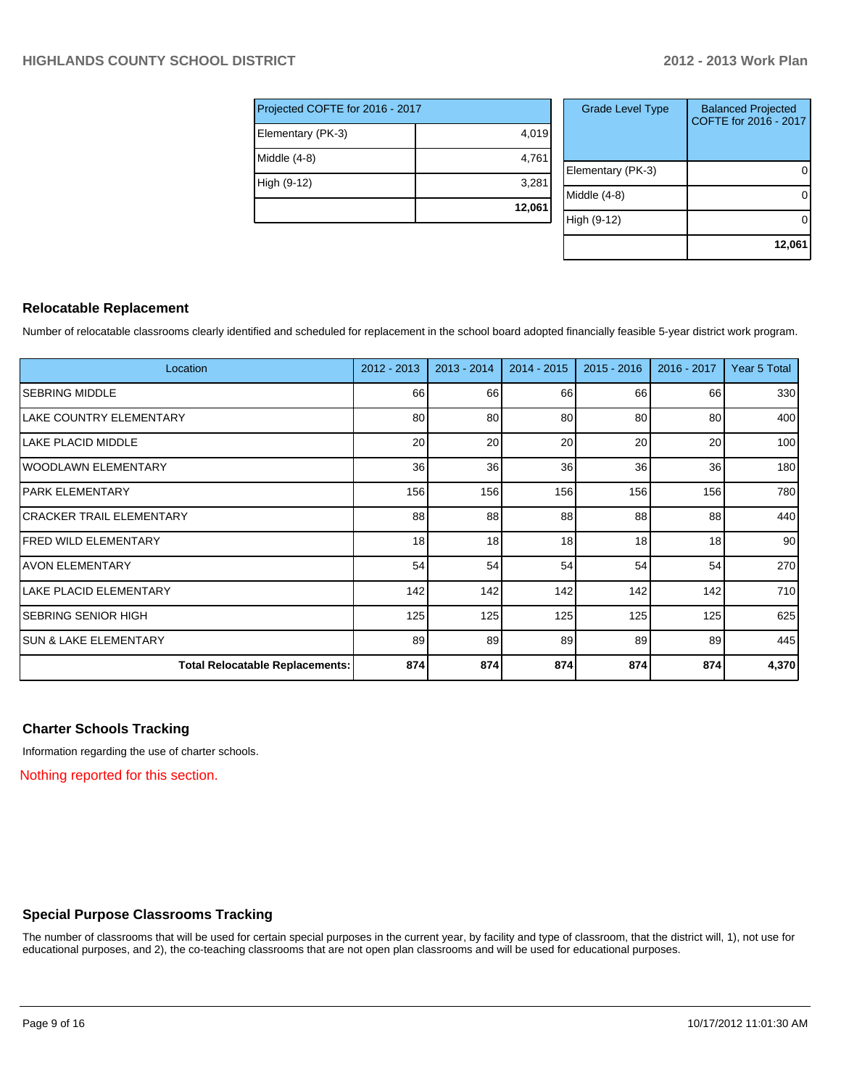| Projected COFTE for 2016 - 2017 |        |  |  |  |  |  |
|---------------------------------|--------|--|--|--|--|--|
| Elementary (PK-3)               | 4,019  |  |  |  |  |  |
| Middle (4-8)                    | 4,761  |  |  |  |  |  |
| High (9-12)                     | 3,281  |  |  |  |  |  |
|                                 | 12,061 |  |  |  |  |  |

| <b>Grade Level Type</b> | <b>Balanced Projected</b><br>COFTE for 2016 - 2017 |
|-------------------------|----------------------------------------------------|
| Elementary (PK-3)       |                                                    |
| Middle $(4-8)$          |                                                    |
| High (9-12)             |                                                    |
|                         | 12,061                                             |

#### **Relocatable Replacement**

Number of relocatable classrooms clearly identified and scheduled for replacement in the school board adopted financially feasible 5-year district work program.

| Location                               | 2012 - 2013 | $2013 - 2014$ | 2014 - 2015 | $2015 - 2016$ | 2016 - 2017 | Year 5 Total    |
|----------------------------------------|-------------|---------------|-------------|---------------|-------------|-----------------|
| <b>SEBRING MIDDLE</b>                  | 66          | 66            | 66          | 66            | 66          | 330             |
| <b>LAKE COUNTRY ELEMENTARY</b>         | 80          | 80            | 80          | 80            | 80          | 400             |
| LAKE PLACID MIDDLE                     | 20          | 20            | 20          | 20            | 20          | 100             |
| IWOODLAWN ELEMENTARY                   | 36          | 36            | 36          | 36            | 36          | 180             |
| IPARK ELEMENTARY                       | 156         | 156           | 156         | 156           | 156         | 780             |
| İCRACKER TRAIL ELEMENTARY              | 88          | 88            | 88          | 88            | 88          | 440             |
| IFRED WILD ELEMENTARY                  | 18          | 18            | 18          | 18            | 18          | 90 <sup>°</sup> |
| lAVON ELEMENTARY                       | 54          | 54            | 54          | 54            | 54          | 270             |
| <b>LAKE PLACID ELEMENTARY</b>          | 142         | 142           | 142         | 142           | 142         | 710             |
| SEBRING SENIOR HIGH                    | 125         | 125           | 125         | 125           | 125         | 625             |
| <b>ISUN &amp; LAKE ELEMENTARY</b>      | 89          | 89            | 89          | 89            | 89          | 445             |
| <b>Total Relocatable Replacements:</b> | 874         | 874           | 874         | 874           | 874         | 4,370           |

### **Charter Schools Tracking**

Information regarding the use of charter schools.

Nothing reported for this section.

### **Special Purpose Classrooms Tracking**

The number of classrooms that will be used for certain special purposes in the current year, by facility and type of classroom, that the district will, 1), not use for educational purposes, and 2), the co-teaching classrooms that are not open plan classrooms and will be used for educational purposes.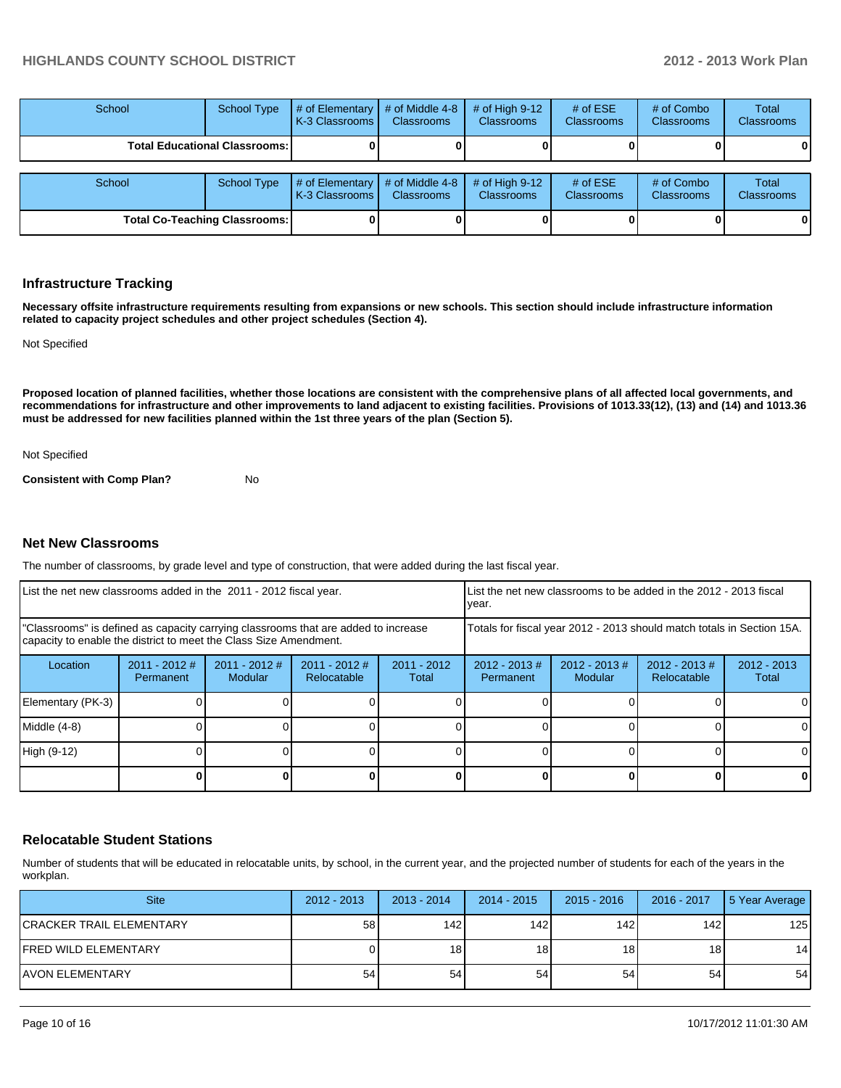#### **HIGHLANDS COUNTY SCHOOL DISTRICT 2012 - 2013 Work Plan**

| School                                 | School Type        | # of Elementary<br>LK-3 Classrooms I        | # of Middle 4-8<br>Classrooms        | # of High $9-12$<br><b>Classrooms</b> | # of $ESE$<br><b>Classrooms</b> | # of Combo<br><b>Classrooms</b> | <b>Total</b><br><b>Classrooms</b> |
|----------------------------------------|--------------------|---------------------------------------------|--------------------------------------|---------------------------------------|---------------------------------|---------------------------------|-----------------------------------|
| <b>Total Educational Classrooms: I</b> |                    |                                             |                                      |                                       |                                 |                                 |                                   |
| School                                 | <b>School Type</b> | # of Elementary<br><b>IK-3 Classrooms I</b> | # of Middle 4-8<br><b>Classrooms</b> | # of High $9-12$<br><b>Classrooms</b> | # of $ESE$<br><b>Classrooms</b> | # of Combo<br><b>Classrooms</b> | <b>Total</b><br>Classrooms        |
| <b>Total Co-Teaching Classrooms:</b>   |                    |                                             |                                      |                                       |                                 |                                 |                                   |

#### **Infrastructure Tracking**

**Necessary offsite infrastructure requirements resulting from expansions or new schools. This section should include infrastructure information related to capacity project schedules and other project schedules (Section 4).**

Not Specified

**Proposed location of planned facilities, whether those locations are consistent with the comprehensive plans of all affected local governments, and recommendations for infrastructure and other improvements to land adjacent to existing facilities. Provisions of 1013.33(12), (13) and (14) and 1013.36 must be addressed for new facilities planned within the 1st three years of the plan (Section 5).**

Not Specified

**Consistent with Comp Plan?** No

#### **Net New Classrooms**

The number of classrooms, by grade level and type of construction, that were added during the last fiscal year.

| List the net new classrooms added in the 2011 - 2012 fiscal year.                                                                                       |                              |                            |                                |                        | List the net new classrooms to be added in the 2012 - 2013 fiscal<br>Ivear. |                            |                                 |                        |
|---------------------------------------------------------------------------------------------------------------------------------------------------------|------------------------------|----------------------------|--------------------------------|------------------------|-----------------------------------------------------------------------------|----------------------------|---------------------------------|------------------------|
| "Classrooms" is defined as capacity carrying classrooms that are added to increase<br>capacity to enable the district to meet the Class Size Amendment. |                              |                            |                                |                        | Totals for fiscal year 2012 - 2013 should match totals in Section 15A.      |                            |                                 |                        |
| Location                                                                                                                                                | $2011 - 2012$ #<br>Permanent | $2011 - 2012$ #<br>Modular | $2011 - 2012$ #<br>Relocatable | $2011 - 2012$<br>Total | $2012 - 2013$ #<br>Permanent                                                | $2012 - 2013$ #<br>Modular | $2012 - 2013 \#$<br>Relocatable | $2012 - 2013$<br>Total |
| Elementary (PK-3)                                                                                                                                       |                              |                            |                                |                        |                                                                             |                            |                                 | 0                      |
| Middle (4-8)                                                                                                                                            |                              |                            |                                |                        |                                                                             |                            |                                 | 0                      |
| High (9-12)                                                                                                                                             |                              |                            |                                |                        |                                                                             |                            |                                 | $\Omega$               |
|                                                                                                                                                         |                              |                            |                                |                        |                                                                             |                            |                                 | 0                      |

#### **Relocatable Student Stations**

Number of students that will be educated in relocatable units, by school, in the current year, and the projected number of students for each of the years in the workplan.

| <b>Site</b>               | $2012 - 2013$ | $2013 - 2014$   | 2014 - 2015     | $2015 - 2016$   | 2016 - 2017     | 5 Year Average |
|---------------------------|---------------|-----------------|-----------------|-----------------|-----------------|----------------|
| ICRACKER TRAIL ELEMENTARY | 58            | 142 I           | 142 I           | 1421            | 142             | 125            |
| IFRED WILD ELEMENTARY     |               | 18 <sup>l</sup> | 18 <sup>1</sup> | 18 <sub>1</sub> | 18 <sub>1</sub> | 14             |
| IAVON ELEMENTARY          | 54            | 54              | 54              | 54              | 54              | 54             |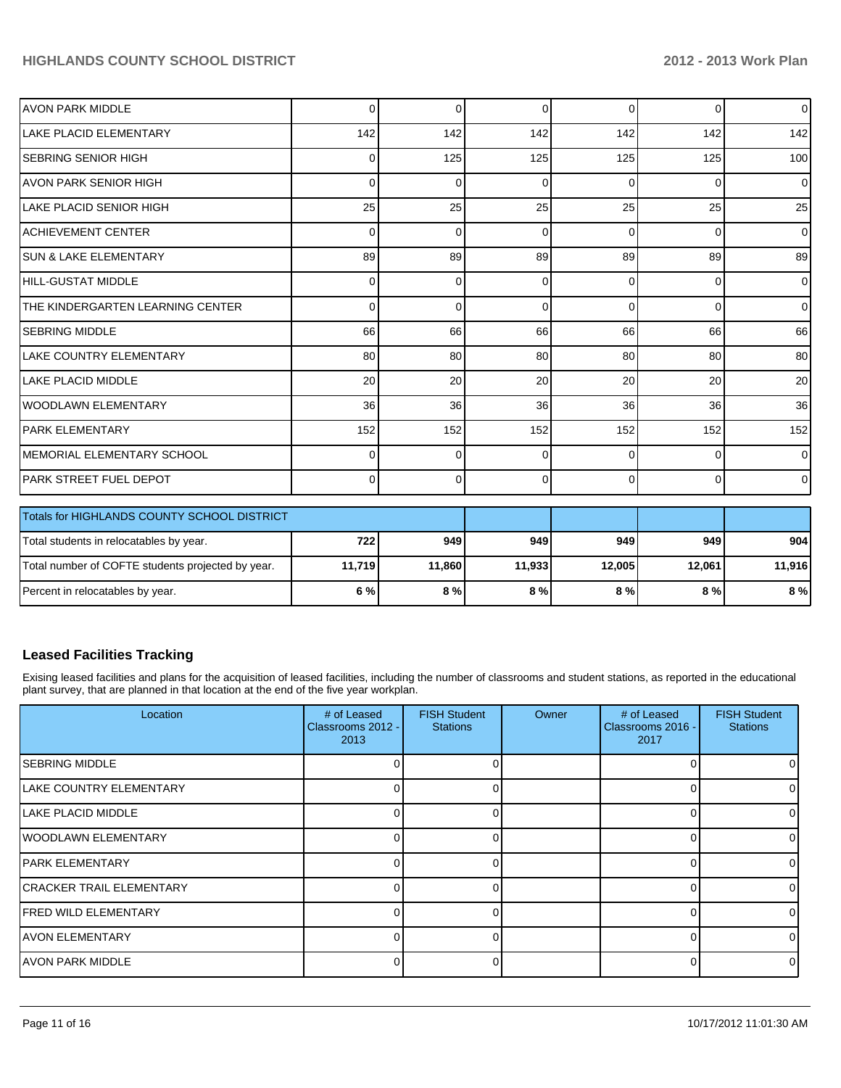# **HIGHLANDS COUNTY SCHOOL DISTRICT 2012 - 2013 Work Plan**

| <b>AVON PARK MIDDLE</b>                           | 0        | $\Omega$ | 0      | $\overline{0}$ | 0        | $\overline{0}$ |
|---------------------------------------------------|----------|----------|--------|----------------|----------|----------------|
| <b>ILAKE PLACID ELEMENTARY</b>                    | 142      | 142      | 142    | 142            | 142      | 142            |
| ISEBRING SENIOR HIGH                              | 0        | 125      | 125    | 125            | 125      | 100            |
| LAVON PARK SENIOR HIGH                            | 0        | $\Omega$ | C      | $\Omega$       | $\Omega$ | $\overline{0}$ |
| ILAKE PLACID SENIOR HIGH                          | 25       | 25       | 25     | 25             | 25       | 25             |
| <b>ACHIEVEMENT CENTER</b>                         | 0        | $\Omega$ | 0      | $\Omega$       | $\Omega$ | $\Omega$       |
| <b>SUN &amp; LAKE ELEMENTARY</b>                  | 89       | 89       | 89     | 89             | 89       | 89             |
| HILL-GUSTAT MIDDLE                                | $\Omega$ | $\Omega$ | 0      | $\Omega$       | $\Omega$ | $\overline{0}$ |
| THE KINDERGARTEN LEARNING CENTER                  | 0        | $\Omega$ | 0      | $\Omega$       | $\Omega$ | $\overline{0}$ |
| <b>SEBRING MIDDLE</b>                             | 66       | 66       | 66     | 66             | 66       | 66             |
| LAKE COUNTRY ELEMENTARY                           | 80       | 80       | 80     | 80             | 80       | 80             |
| <b>LAKE PLACID MIDDLE</b>                         | 20       | 20       | 20     | 20             | 20       | 20             |
| IWOODLAWN ELEMENTARY                              | 36       | 36       | 36     | 36             | 36       | 36             |
| IPARK ELEMENTARY                                  | 152      | 152      | 152    | 152            | 152      | 152            |
| <b>MEMORIAL ELEMENTARY SCHOOL</b>                 | 0        | $\Omega$ | U      | 0              | $\Omega$ | $\overline{0}$ |
| PARK STREET FUEL DEPOT                            | $\Omega$ | $\Omega$ | 0      | $\Omega$       | 0        | $\overline{0}$ |
| Totals for HIGHLANDS COUNTY SCHOOL DISTRICT       |          |          |        |                |          |                |
| Total students in relocatables by year.           | 722      | 949      | 949    | 949            | 949      | 904            |
| Total number of COFTE students projected by year. | 11,719   | 11,860   | 11,933 | 12,005         | 12,061   | 11,916         |

### **Leased Facilities Tracking**

Exising leased facilities and plans for the acquisition of leased facilities, including the number of classrooms and student stations, as reported in the educational plant survey, that are planned in that location at the end of the five year workplan.

Percent in relocatables by year. **6 % 8 % 8 % 8 % 8 % 8 %**

| Location                        | # of Leased<br>Classrooms 2012 -<br>2013 | <b>FISH Student</b><br><b>Stations</b> | Owner | # of Leased<br>Classrooms 2016 -<br>2017 | <b>FISH Student</b><br><b>Stations</b> |
|---------------------------------|------------------------------------------|----------------------------------------|-------|------------------------------------------|----------------------------------------|
| <b>ISEBRING MIDDLE</b>          |                                          |                                        |       |                                          |                                        |
| <b>LAKE COUNTRY ELEMENTARY</b>  |                                          |                                        |       |                                          |                                        |
| LAKE PLACID MIDDLE              |                                          |                                        |       |                                          |                                        |
| <b>WOODLAWN ELEMENTARY</b>      |                                          |                                        |       |                                          |                                        |
| IPARK ELEMENTARY                |                                          |                                        |       |                                          |                                        |
| <b>CRACKER TRAIL ELEMENTARY</b> |                                          |                                        |       |                                          |                                        |
| <b>FRED WILD ELEMENTARY</b>     |                                          |                                        |       |                                          |                                        |
| <b>AVON ELEMENTARY</b>          |                                          |                                        |       |                                          |                                        |
| IAVON PARK MIDDLE               |                                          |                                        |       |                                          |                                        |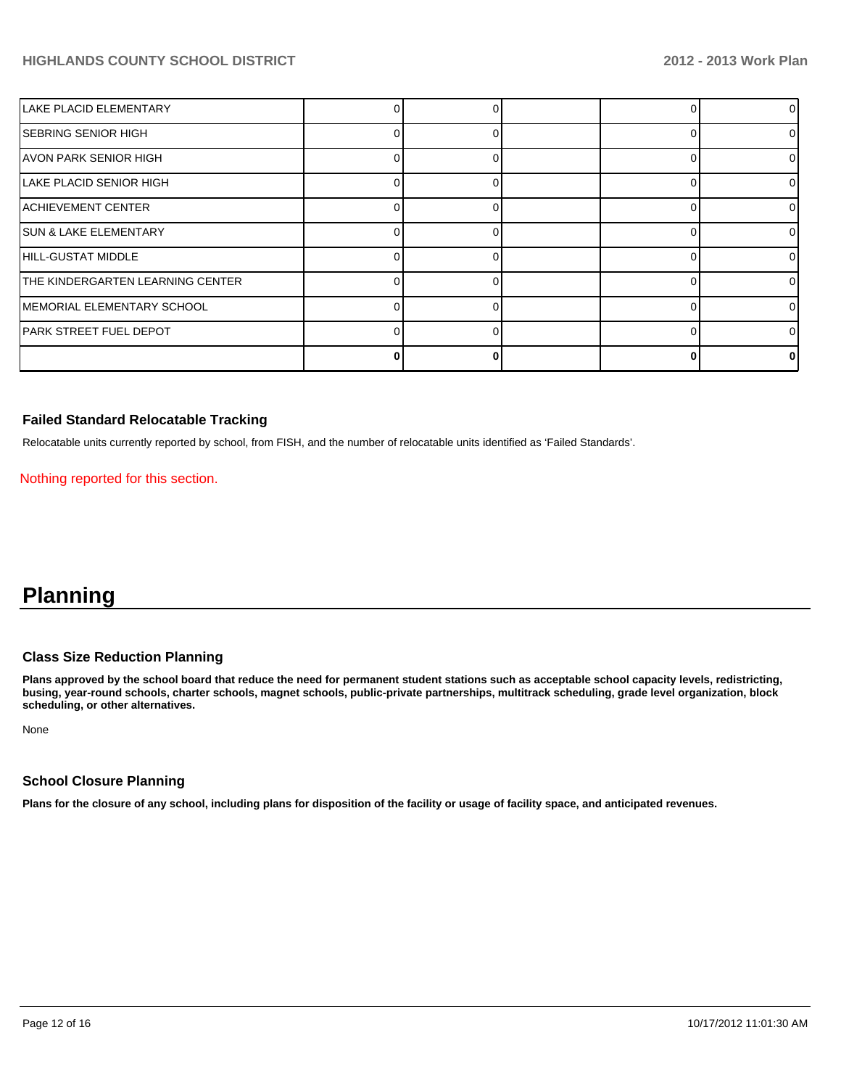# **HIGHLANDS COUNTY SCHOOL DISTRICT 2012 - 2013 Work Plan**

| <b>LAKE PLACID ELEMENTARY</b>    |  |  |          |
|----------------------------------|--|--|----------|
| <b>SEBRING SENIOR HIGH</b>       |  |  | 0        |
| AVON PARK SENIOR HIGH            |  |  | $\Omega$ |
| LAKE PLACID SENIOR HIGH          |  |  | 0        |
| ACHIEVEMENT CENTER               |  |  | 0        |
| <b>SUN &amp; LAKE ELEMENTARY</b> |  |  | 0        |
| HILL-GUSTAT MIDDLE               |  |  | 0        |
| THE KINDERGARTEN LEARNING CENTER |  |  | ΩI       |
| MEMORIAL ELEMENTARY SCHOOL       |  |  | 0        |
| <b>PARK STREET FUEL DEPOT</b>    |  |  | 0        |
|                                  |  |  | 0        |

#### **Failed Standard Relocatable Tracking**

Relocatable units currently reported by school, from FISH, and the number of relocatable units identified as 'Failed Standards'.

Nothing reported for this section.

# **Planning**

#### **Class Size Reduction Planning**

**Plans approved by the school board that reduce the need for permanent student stations such as acceptable school capacity levels, redistricting, busing, year-round schools, charter schools, magnet schools, public-private partnerships, multitrack scheduling, grade level organization, block scheduling, or other alternatives.**

None

#### **School Closure Planning**

**Plans for the closure of any school, including plans for disposition of the facility or usage of facility space, and anticipated revenues.**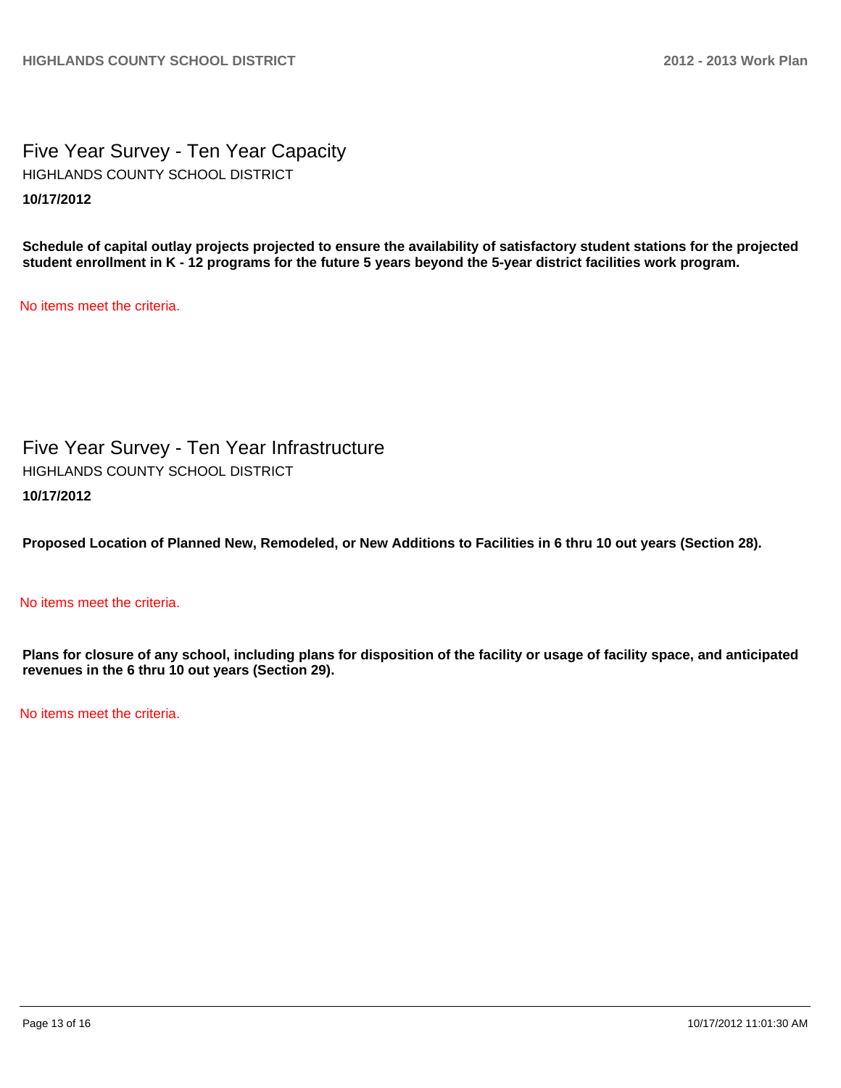Five Year Survey - Ten Year Capacity **10/17/2012** HIGHLANDS COUNTY SCHOOL DISTRICT

**Schedule of capital outlay projects projected to ensure the availability of satisfactory student stations for the projected student enrollment in K - 12 programs for the future 5 years beyond the 5-year district facilities work program.**

No items meet the criteria.

Five Year Survey - Ten Year Infrastructure **10/17/2012** HIGHLANDS COUNTY SCHOOL DISTRICT

**Proposed Location of Planned New, Remodeled, or New Additions to Facilities in 6 thru 10 out years (Section 28).**

#### No items meet the criteria.

**Plans for closure of any school, including plans for disposition of the facility or usage of facility space, and anticipated revenues in the 6 thru 10 out years (Section 29).**

No items meet the criteria.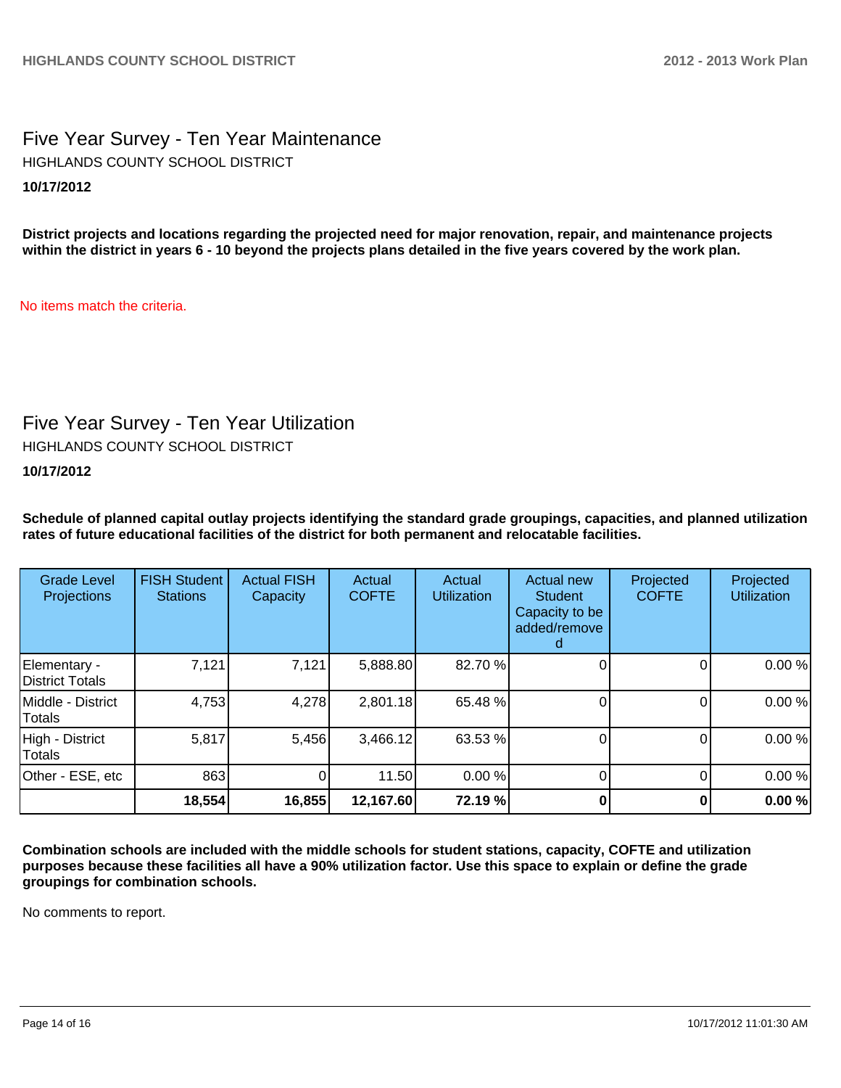Five Year Survey - Ten Year Maintenance **10/17/2012** HIGHLANDS COUNTY SCHOOL DISTRICT

**District projects and locations regarding the projected need for major renovation, repair, and maintenance projects within the district in years 6 - 10 beyond the projects plans detailed in the five years covered by the work plan.**

No items match the criteria.

# Five Year Survey - Ten Year Utilization

HIGHLANDS COUNTY SCHOOL DISTRICT

### **10/17/2012**

**Schedule of planned capital outlay projects identifying the standard grade groupings, capacities, and planned utilization rates of future educational facilities of the district for both permanent and relocatable facilities.**

| <b>Grade Level</b><br>Projections  | <b>FISH Student</b><br><b>Stations</b> | <b>Actual FISH</b><br>Capacity | Actual<br><b>COFTE</b> | Actual<br><b>Utilization</b> | Actual new<br><b>Student</b><br>Capacity to be<br>added/remove<br>d | Projected<br><b>COFTE</b> | Projected<br><b>Utilization</b> |
|------------------------------------|----------------------------------------|--------------------------------|------------------------|------------------------------|---------------------------------------------------------------------|---------------------------|---------------------------------|
| Elementary -<br>District Totals    | 7,121                                  | 7,121                          | 5,888.80               | 82.70 %                      |                                                                     |                           | 0.00%                           |
| Middle - District<br><b>Totals</b> | 4,753                                  | 4,278                          | 2,801.18               | 65.48 %                      |                                                                     |                           | 0.00%                           |
| High - District<br><b>Totals</b>   | 5,817                                  | 5,456                          | 3,466.12               | 63.53 %                      |                                                                     |                           | 0.00%                           |
| Other - ESE, etc                   | 863                                    | 0                              | 11.50                  | 0.00%                        |                                                                     |                           | 0.00 %                          |
|                                    | 18,554                                 | 16,855                         | 12,167.60              | 72.19 %                      |                                                                     |                           | 0.00%                           |

**Combination schools are included with the middle schools for student stations, capacity, COFTE and utilization purposes because these facilities all have a 90% utilization factor. Use this space to explain or define the grade groupings for combination schools.**

No comments to report.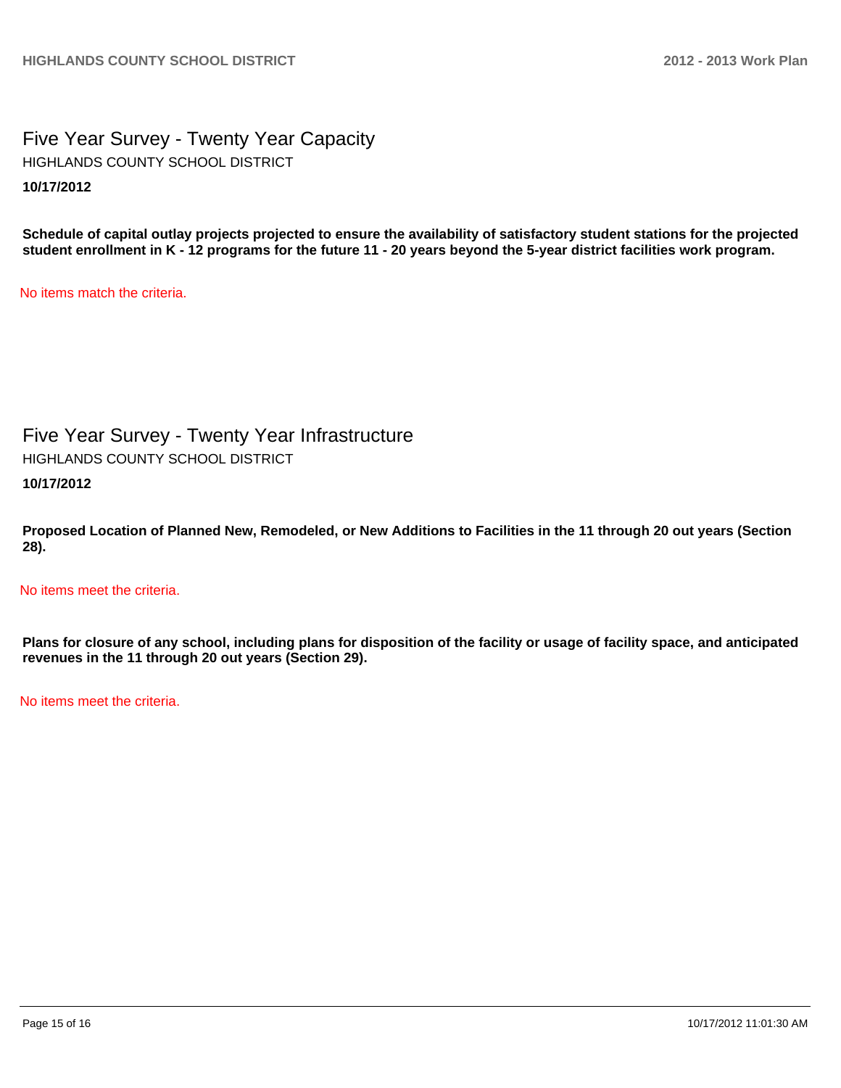Five Year Survey - Twenty Year Capacity **10/17/2012** HIGHLANDS COUNTY SCHOOL DISTRICT

**Schedule of capital outlay projects projected to ensure the availability of satisfactory student stations for the projected student enrollment in K - 12 programs for the future 11 - 20 years beyond the 5-year district facilities work program.**

No items match the criteria.

Five Year Survey - Twenty Year Infrastructure HIGHLANDS COUNTY SCHOOL DISTRICT

**10/17/2012**

**Proposed Location of Planned New, Remodeled, or New Additions to Facilities in the 11 through 20 out years (Section 28).**

No items meet the criteria.

**Plans for closure of any school, including plans for disposition of the facility or usage of facility space, and anticipated revenues in the 11 through 20 out years (Section 29).**

No items meet the criteria.